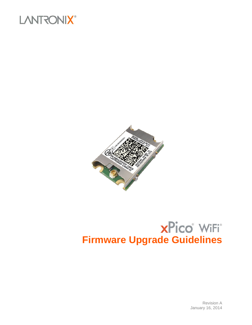



# $xPico^*$  WiFi<sup>\*</sup> **Firmware Upgrade Guidelines**

Revision A January 16, 2014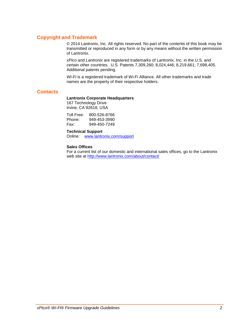## **Copyright and Trademark**

© 2014 Lantronix, Inc. All rights reserved. No part of the contents of this book may be transmitted or reproduced in any form or by any means without the written permission of Lantronix.

*xPico* and *Lantronix* are registered trademarks of Lantronix, Inc. in the U.S. and certain other countries. U.S. Patents 7,309,260; 8,024,446; 8,219,661; 7,698,405. Additional patents pending.

*Wi-Fi* is a registered trademark of Wi-Fi Alliance. All other trademarks and trade names are the property of their respective holders.

### **Contacts**

#### **Lantronix Corporate Headquarters**

167 Technology Drive Irvine, CA 92618, USA

Toll Free: 800-526-8766<br>Phone: 949-453-3990 Phone: 949-453-3990<br>Fax: 949-450-7249 949-450-7249

#### **Technical Support**

Online: [www.lantronix.com/support](http://www.lantronix.com/support)

#### **Sales Offices**

For a current list of our domestic and international sales offices, go to the Lantronix web site at<http://www.lantronix.com/about/contact/>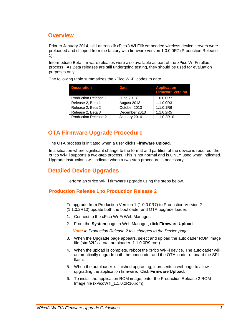## **Overview**

Prior to January 2014, all Lantronix® xPico® Wi-Fi® embedded wireless device servers were preloaded and shipped from the factory with firmware version 1.0.0.0R7 (Production Release 1).

Intermediate Beta firmware releases were also available as part of the xPico Wi-Fi rollout process. As Beta releases are still undergoing testing, they should be used for evaluation purposes only.

The following table summarizes the xPico Wi-Fi codes to date.

| <b>Description</b>          | <b>Date</b>   | <b>Application</b><br><b>Firmware Version</b> |
|-----------------------------|---------------|-----------------------------------------------|
| <b>Production Release 1</b> | June 2013     | 1.0.0.0R7                                     |
| Release 2, Beta 1           | August 2013   | 1.1.0.0R3                                     |
| Release 2, Beta 2           | October 2013  | 1.1.0.1R6                                     |
| Release 2, Beta 3           | December 2013 | 1.1.0.2R5                                     |
| <b>Production Release 2</b> | January 2014  | 1.1.0.2R10                                    |

# **OTA Firmware Upgrade Procedure**

The OTA process is initiated when a user clicks **Firmware Upload**.

In a situation where significant change to the format and partition of the device is required, the xPico Wi-Fi supports a two-step process. This is not normal and is ONLY used when indicated. Upgrade instructions will indicate when a two-step procedure is necessary

# **Detailed Device Upgrades**

Perform an xPico Wi-Fi firmware upgrade using the steps below.

## <span id="page-2-0"></span>**Production Release 1 to Production Release 2**

To upgrade from Production Version 1 (1.0.0.0R7) to Production Version 2 (1.1.0.2R10) update both the bootloader and OTA upgrade loader.

- 1. Connect to the xPico Wi-Fi Web Manager.
- 2. From the **System** page in Web Manager, click **Firmware Upload**.

*Note: in Production Release 2 this changes to the Device page*

- 3. When the **Upgrade** page appears, select and upload the autoloader ROM image file (stm32f2xx\_ota\_autoloader\_1.1.0.0R9.rom).
- 4. When the upload is complete, reboot the xPico Wi-Fi device. The autoloader will automatically upgrade both the bootloader and the OTA loader onboard the SPI flash.
- 5. When the autoloader is finished upgrading, it presents a webpage to allow upgrading the application firmware. Click **Firmware Upload**.
- 6. To install the application ROM image, enter the Production Release 2 ROM Image file (xPicoWifi\_1.1.0.2R10.rom).